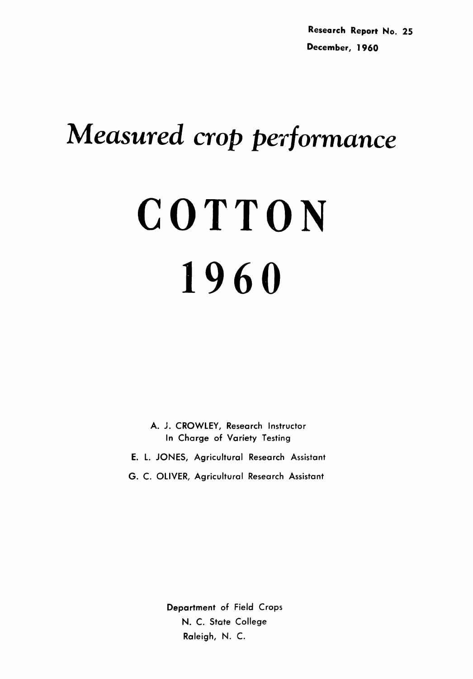## *Measured crop performance*

# **COTTON 1960**

A. J. CROWLEY, Research Instructor In Charge of Variety Testing

- E. l. JONES, Agricultural Research Assistant
- G. C. OLIVER, Agricultural Research Assistant

Department of Field Crops N. C. State College Raleigh, N. C.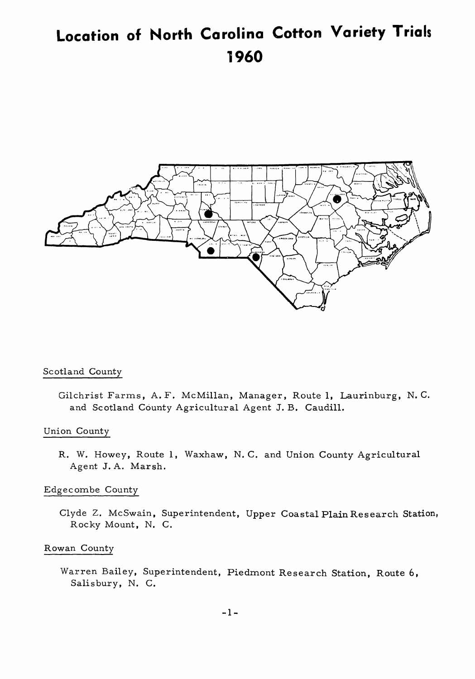## **Location of North Carolina Cotton Variety Trials 1960**



#### Scotland County

Gilchrist Farms, A. F. McMillan, Manager, Route 1, Laurinburg, N. C. and Scotland County Agricultural Agent J. B. Caudill.

#### Union County

R. W. Howey, Route 1, Waxhaw, N. C. and Union County Agricultural Agent J. A. Marsh.

#### Edgecombe County

Clyde Z. McSwain, Superintendent, Upper Coastal Plain Research Station, Rocky Mount, N. C.

#### Rowan County

Warren Bailey, Superintendent, Piedmont Research Station, Route 6, Salisbury, N. C.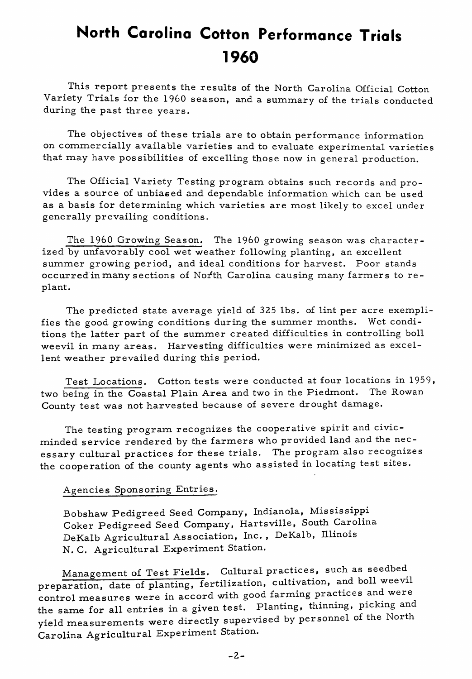## **North Carolina Cotton Performance Trials 1960**

This report presents the results of the North Carolina Official Cotton Variety Trials for the 1960 season, and a summary of the trials conducted during the past three years.

The objectives of these trials are to obtain performance information on commercially available varieties and to evaluate experimental varieties that may have possibilities of excelling those now in general production.

The Official Variety Testing program obtains such records and provides a source of unbiased and dependable information which can be used as a basis for determining which varieties are most likely to excel under generally prevailing conditions.

The 1960 Growing Season. The 1960 growing season was characterized by unfavorably cool wet weather following planting, an excellent summer growing period, and ideal conditions for harvest. Poor stands occurred in many sections of North Carolina causing many farmers to replant.

The predicted state average yield of 325 lbs. of lint per acre exemplifies the good growing conditions during the summer months. Wet conditions the latter part of the summer created difficulties in controlling boll weevil in many areas. Harvesting difficulties were minimized as excellent weather prevailed during this period.

Test Locations. Cotton tests were conducted at four locations in 1959, two being in the Coastal Plain Area and two in the Piedmont. The Rowan County test was not harvested because of severe drought damage.

The testing program recognizes the cooperative spirit and civicminded service rendered by the farmers who provided land and the necessary cultural practices for these trials. The program also recognizes the cooperation of the county agents who assisted in locating test sites.

#### Agencies Sponsoring Entries.

Bobshaw Pedigreed Seed Company, Indianola, Mississippi Coker Pedigreed Seed Company, Hartsville, South Carolina DeKalb Agricultural Association, Inc., DeKalb, Illinois N. C. Agricultural Experiment Station.

Management of Test Fields. Cultural practices, such as seedbed. preparation, date of planting, fertilization, cultivation, and boll weevil control measures were in accord with good farming practices and were the same for all entries in a given test. Planting, thinning, picking and yield measurements were directly supervised by personnel of the North Carolina Agricultural Experiment Station.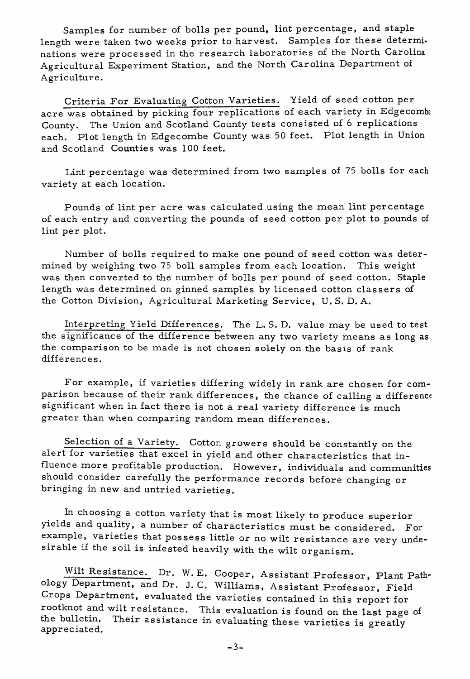Samples for number of bolls per pound, lint percentage, and staple length were taken two weeks prior to harvest. Samples for these determinations were processed in the research laboratories of the North Carolina Agricultural Experiment Station, and the North Carolina Department of Agriculture.

Criteria For Evaluating Cotton Varieties. Yield of seed cotton per acre was obtained by picking four replications of each variety in Edgecombe County. The Union and Scotland County tests consisted of 6 replications. each. Plot length in Edgecombe County was 50 feet. Plot length in Union and Scotland Counties was 100 feet.

Lint percentage was determined from two samples of 75 bolls for each variety at each location.

Pounds of lint per acre was calculated using the mean lint percentage of each entry and converting the pounds of seed cotton per plot to pounds of lint per plot.

Number of bolls required to make one pound of seed cotton was determined by weighing two 75 boll samples from each location. This weight was then converted to the number of bolls per pound of seed cotton. Staple length was determined on ginned samples by licensed cotton classers of the Cotton Division, Agricultural Marketing Service, U. S. D. A.

Interpreting Yield Differences. The L. S. D. value may be used to test the significance of the difference between any two variety means as long as the comparison to be made is not chosen solely on the basis of rank differences.

For example, if varieties differing widely in rank are chosen for comparison because of their rank differences, the chance of calling a difference significant when in fact there is not a real variety difference is much greater than when comparing random mean differences.

Selection of a Variety. Cotton growers should be constantly on the alert for varieties that excel in yield and other characteristics that influence more profitable production. However, individuals and communities should consider carefully the performance records before changing or bringing in new and untried varieties.

In choosing a cotton variety that is most likely to produce superior yields and quality, a number of characteristics must be considered. For example, varieties that possess little or no wilt resistance are very undesirable if the soil is infested heavily with the wilt organism.

Wilt Resistance. Dr. W. E. Cooper, Assistant Professor, Plant Pathology Department, and Dr. J. C. Williams, Assistant Professor, Field Crops Department, evaluated the varieties contained in this report for rootknot and wilt resistance. This evaluation is found on the last page of the bulletin. Their assistance in evaluating these varieties is greatly appreciated.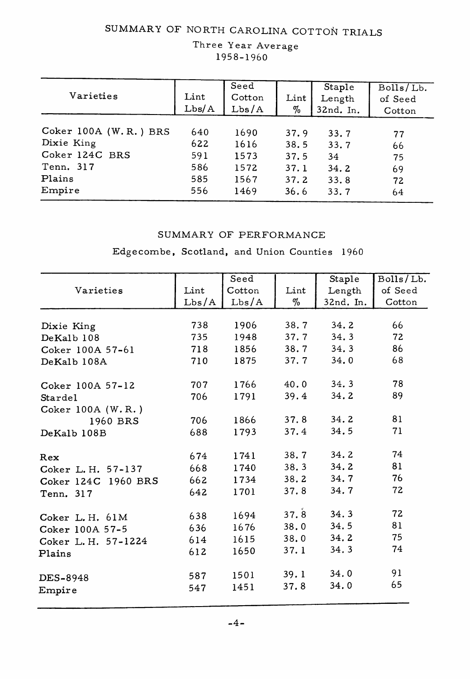### SUMMARY OF NORTH CAROLINA COTTON TRIALS

#### Three Year Average 1958-1960

| Varieties             | Lint<br>Lbs/A | Seed<br>Cotton<br>Lbs/A | Lint<br>% | Staple<br>Length<br>32nd. In. | Bolls/Lb.<br>of Seed<br>Cotton |
|-----------------------|---------------|-------------------------|-----------|-------------------------------|--------------------------------|
| Coker 100A (W.R.) BRS | 640           | 1690                    | 37.9      | 33.7                          | 77                             |
| Dixie King            | 622           | 1616                    | 38.5      | 33.7                          | 66                             |
| Coker 124C BRS        | 591           | 1573                    | 37.5      | 34                            | 75                             |
| Tenn. 317             | 586           | 1572                    | 37.1      | 34.2                          | 69                             |
| Plains                | 585           | 1567                    | 37.2      | 33.8                          | 72                             |
| Empire                | 556           | 1469                    | 36.6      | 33.7                          | 64                             |

#### SUMMARY OF PERFORMANCE

Edgecombe, Scotland, and Union Counties 1960

|                     |       | Seed   |      | Staple    | Bolls/Lb. |
|---------------------|-------|--------|------|-----------|-----------|
| Varieties           | Lint  | Cotton | Lint | Length    | of Seed   |
|                     | Lbs/A | Lbs/A  | $\%$ | 32nd. In. | Cotton    |
|                     |       |        |      |           |           |
| Dixie King          | 738   | 1906   | 38.7 | 34.2      | 66        |
| DeKalb 108          | 735   | 1948   | 37.7 | 34.3      | 72        |
| Coker 100A 57-61    | 718   | 1856   | 38.7 | 34.3      | 86        |
| DeKalb 108A         | 710   | 1875   | 37.7 | 34.0      | 68        |
| Coker 100A 57-12    | 707   | 1766   | 40.0 | 34, 3     | 78        |
| Stardel             | 706   | 1791   | 39.4 | 34.2      | 89        |
| Coker $100A$ (W.R.) |       |        |      |           |           |
| 1960 BRS            | 706   | 1866   | 37.8 | 34.2      | 81        |
| DeKalb 108B         | 688   | 1793   | 37.4 | 34.5      | 71        |
| Rex                 | 674   | 1741   | 38.7 | 34.2      | 74        |
| Coker L. H. 57-137  | 668   | 1740   | 38.3 | 34.2      | 81        |
| Coker 124C 1960 BRS | 662   | 1734   | 38.2 | 34.7      | 76        |
| Tenn. 317           | 642   | 1701   | 37.8 | 34.7      | 72        |
| Coker L.H. 61M      | 638   | 1694   | 37.8 | 34.3      | 72        |
| Coker 100A 57-5     | 636   | 1676   | 38.0 | 34.5      | 81        |
| Coker L. H. 57-1224 | 614   | 1615   | 38.0 | 34.2      | 75        |
| Plains              | 612   | 1650   | 37.1 | 34.3      | 74        |
| DES-8948            | 587   | 1501   | 39.1 | 34.0      | 91        |
| Empire              | 547   | 1451   | 37.8 | 34.0      | 65        |
|                     |       |        |      |           |           |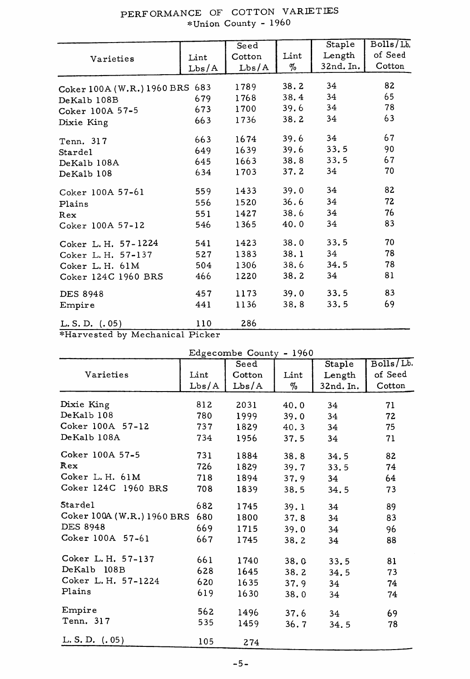|                                |       | Seed   |      | Staple    | Bolls/Lb |
|--------------------------------|-------|--------|------|-----------|----------|
| Varieties                      | Lint  | Cotton | Lint | Length    | of Seed  |
|                                | Lbs/A | Lbs/A  | %    | 32nd. In. | Cotton   |
| Coker 100A (W.R.) 1960 BRS 683 |       | 1789   | 38.2 | 34        | 82       |
| DeKalb 108B                    | 679   | 1768   | 38.4 | 34        | 65       |
| Coker 100A 57-5                | 673   | 1700   | 39.6 | 34        | 78       |
| Dixie King                     | 663   | 1736   | 38.2 | 34        | 63       |
| Tenn. 317                      | 663   | 1674   | 39.6 | 34        | 67       |
| Stardel                        | 649   | 1639   | 39.6 | 33.5      | 90       |
| DeKalb 108A                    | 645   | 1663   | 38.8 | 33.5      | 67       |
| DeKalb 108                     | 634   | 1703   | 37.2 | 34        | 70       |
| Coker 100A 57-61               | 559   | 1433   | 39.0 | 34        | 82       |
| Plains                         | 556   | 1520   | 36.6 | 34        | 72       |
| Rex                            | 551   | 1427   | 38.6 | 34        | 76       |
| Coker 100A 57-12               | 546   | 1365   | 40.0 | 34        | 83       |
| Coker L. H. 57-1224            | 541   | 1423   | 38.0 | 33.5      | 70       |
| Coker L. H. 57-137             | 527   | 1383   | 38.1 | 34        | 78       |
| Coker L.H. 61M                 | 504   | 1306   | 38.6 | 34.5      | 78       |
| Coker 124C 1960 BRS            | 466   | 1220   | 38.2 | 34        | 81       |
| <b>DES 8948</b>                | 457   | 1173   | 39.0 | 33.5      | 83       |
| Empire                         | 441   | 1136   | 38.8 | 33.5      | 69       |
| L.S.D. (.05)                   | 110   | 286    |      |           |          |

## PERFORMANCE OF COTTON VARIETIES<br>Vinion County - 1960

\*Harvested by Mechanical Picker

| Edgecombe County - 1960    |       |        |      |           |           |
|----------------------------|-------|--------|------|-----------|-----------|
|                            |       | Seed   |      | Staple    | Bolls/Lb. |
| Varieties                  | Lint  | Cotton | Lint | Length    | of Seed   |
|                            | Lbs/A | Lbs/A  | %    | 32nd. In. | Cotton    |
| Dixie King                 | 812   | 2031   | 40.0 | 34        | 71        |
| DeKalb 108                 | 780   | 1999   | 39.0 | 34        | 72        |
| Coker 100A 57-12           | 737   | 1829   | 40.3 | 34        | 75        |
| DeKalb 108A                | 734   | 1956   | 37.5 | 34        | 71        |
| Coker 100A 57-5            | 731   | 1884   | 38.8 | 34.5      | 82        |
| Rex                        | 726   | 1829   | 39.7 | 33.5      | 74        |
| Coker L. H. 61M            | 718   | 1894   | 37.9 | 34        | 64        |
| Coker 124C 1960 BRS        | 708   | 1839   | 38.5 | 34.5      | 73        |
| Stardel                    | 682   | 1745   | 39.1 | 34        | 89        |
| Coker 100A (W.R.) 1960 BRS | 680   | 1800   | 37.8 | 34        | 83        |
| DES 8948                   | 669   | 1715   | 39.0 | 34        | 96        |
| Coker 100A 57-61           | 667   | 1745   | 38.2 | 34        | 88        |
| Coker L. H. 57-137         | 661   | 1740   | 38.0 | 33.5      | 81        |
| DeKalb 108B                | 628   | 1645   | 38.2 | 34.5      | 73        |
| Coker L. H. 57-1224        | 620   | 1635   | 37.9 | 34        | 74        |
| Plains                     | 619   | 1630   | 38.0 | 34        | 74        |
| Empire                     | 562   | 1496   | 37.6 | 34        | 69        |
| Tenn. 317                  | 535   | 1459   | 36.7 | 34.5      | 78        |
| $L.S.D.$ $(0.05)$          | 105   | 274    |      |           |           |